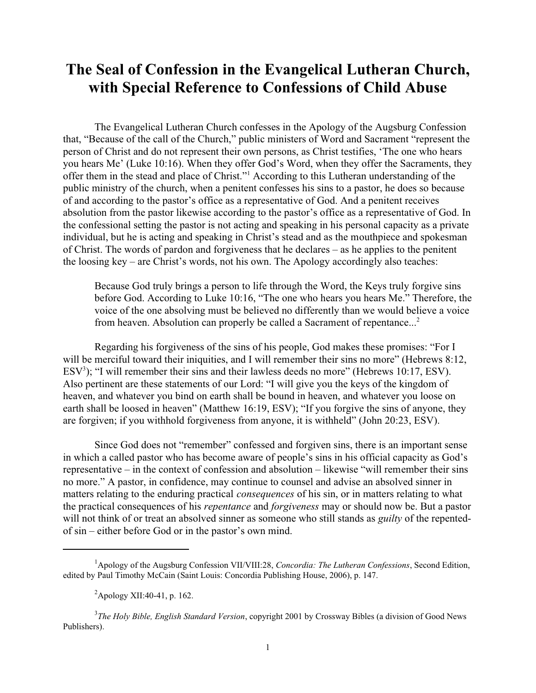## **The Seal of Confession in the Evangelical Lutheran Church, with Special Reference to Confessions of Child Abuse**

The Evangelical Lutheran Church confesses in the Apology of the Augsburg Confession that, "Because of the call of the Church," public ministers of Word and Sacrament "represent the person of Christ and do not represent their own persons, as Christ testifies, 'The one who hears you hears Me' (Luke 10:16). When they offer God's Word, when they offer the Sacraments, they offer them in the stead and place of Christ."<sup>1</sup> According to this Lutheran understanding of the public ministry of the church, when a penitent confesses his sins to a pastor, he does so because of and according to the pastor's office as a representative of God. And a penitent receives absolution from the pastor likewise according to the pastor's office as a representative of God. In the confessional setting the pastor is not acting and speaking in his personal capacity as a private individual, but he is acting and speaking in Christ's stead and as the mouthpiece and spokesman of Christ. The words of pardon and forgiveness that he declares – as he applies to the penitent the loosing key – are Christ's words, not his own. The Apology accordingly also teaches:

Because God truly brings a person to life through the Word, the Keys truly forgive sins before God. According to Luke 10:16, "The one who hears you hears Me." Therefore, the voice of the one absolving must be believed no differently than we would believe a voice from heaven. Absolution can properly be called a Sacrament of repentance...<sup>2</sup>

Regarding his forgiveness of the sins of his people, God makes these promises: "For I will be merciful toward their iniquities, and I will remember their sins no more" (Hebrews 8:12,  $ESV<sup>3</sup>$ ); "I will remember their sins and their lawless deeds no more" (Hebrews 10:17, ESV). Also pertinent are these statements of our Lord: "I will give you the keys of the kingdom of heaven, and whatever you bind on earth shall be bound in heaven, and whatever you loose on earth shall be loosed in heaven" (Matthew 16:19, ESV); "If you forgive the sins of anyone, they are forgiven; if you withhold forgiveness from anyone, it is withheld" (John 20:23, ESV).

Since God does not "remember" confessed and forgiven sins, there is an important sense in which a called pastor who has become aware of people's sins in his official capacity as God's representative – in the context of confession and absolution – likewise "will remember their sins no more." A pastor, in confidence, may continue to counsel and advise an absolved sinner in matters relating to the enduring practical *consequences* of his sin, or in matters relating to what the practical consequences of his *repentance* and *forgiveness* may or should now be. But a pastor will not think of or treat an absolved sinner as someone who still stands as *guilty* of the repentedof sin – either before God or in the pastor's own mind.

<sup>1</sup>Apology of the Augsburg Confession VII/VIII:28, *Concordia: The Lutheran Confessions*, Second Edition, edited by Paul Timothy McCain (Saint Louis: Concordia Publishing House, 2006), p. 147.

 ${}^{2}$ Apology XII:40-41, p. 162.

<sup>3</sup> *The Holy Bible, English Standard Version*, copyright 2001 by Crossway Bibles (a division of Good News Publishers).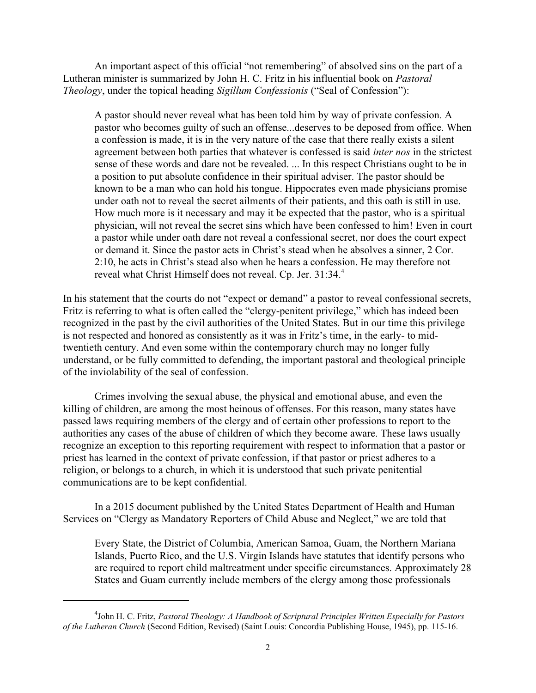An important aspect of this official "not remembering" of absolved sins on the part of a Lutheran minister is summarized by John H. C. Fritz in his influential book on *Pastoral Theology*, under the topical heading *Sigillum Confessionis* ("Seal of Confession"):

A pastor should never reveal what has been told him by way of private confession. A pastor who becomes guilty of such an offense...deserves to be deposed from office. When a confession is made, it is in the very nature of the case that there really exists a silent agreement between both parties that whatever is confessed is said *inter nos* in the strictest sense of these words and dare not be revealed. ... In this respect Christians ought to be in a position to put absolute confidence in their spiritual adviser. The pastor should be known to be a man who can hold his tongue. Hippocrates even made physicians promise under oath not to reveal the secret ailments of their patients, and this oath is still in use. How much more is it necessary and may it be expected that the pastor, who is a spiritual physician, will not reveal the secret sins which have been confessed to him! Even in court a pastor while under oath dare not reveal a confessional secret, nor does the court expect or demand it. Since the pastor acts in Christ's stead when he absolves a sinner, 2 Cor. 2:10, he acts in Christ's stead also when he hears a confession. He may therefore not reveal what Christ Himself does not reveal. Cp. Jer. 31:34.<sup>4</sup>

In his statement that the courts do not "expect or demand" a pastor to reveal confessional secrets, Fritz is referring to what is often called the "clergy-penitent privilege," which has indeed been recognized in the past by the civil authorities of the United States. But in our time this privilege is not respected and honored as consistently as it was in Fritz's time, in the early- to midtwentieth century. And even some within the contemporary church may no longer fully understand, or be fully committed to defending, the important pastoral and theological principle of the inviolability of the seal of confession.

Crimes involving the sexual abuse, the physical and emotional abuse, and even the killing of children, are among the most heinous of offenses. For this reason, many states have passed laws requiring members of the clergy and of certain other professions to report to the authorities any cases of the abuse of children of which they become aware. These laws usually recognize an exception to this reporting requirement with respect to information that a pastor or priest has learned in the context of private confession, if that pastor or priest adheres to a religion, or belongs to a church, in which it is understood that such private penitential communications are to be kept confidential.

In a 2015 document published by the United States Department of Health and Human Services on "Clergy as Mandatory Reporters of Child Abuse and Neglect," we are told that

Every State, the District of Columbia, American Samoa, Guam, the Northern Mariana Islands, Puerto Rico, and the U.S. Virgin Islands have statutes that identify persons who are required to report child maltreatment under specific circumstances. Approximately 28 States and Guam currently include members of the clergy among those professionals

<sup>4</sup> John H. C. Fritz, *Pastoral Theology: A Handbook of Scriptural Principles Written Especially for Pastors of the Lutheran Church* (Second Edition, Revised) (Saint Louis: Concordia Publishing House, 1945), pp. 115-16.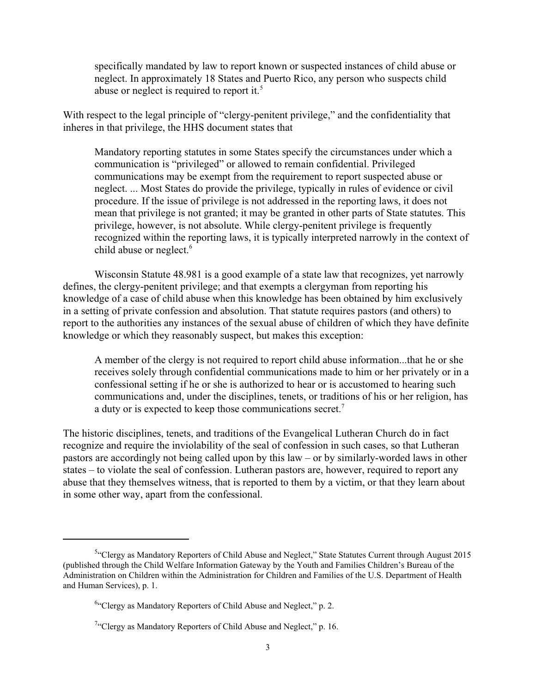specifically mandated by law to report known or suspected instances of child abuse or neglect. In approximately 18 States and Puerto Rico, any person who suspects child abuse or neglect is required to report it.<sup>5</sup>

With respect to the legal principle of "clergy-penitent privilege," and the confidentiality that inheres in that privilege, the HHS document states that

Mandatory reporting statutes in some States specify the circumstances under which a communication is "privileged" or allowed to remain confidential. Privileged communications may be exempt from the requirement to report suspected abuse or neglect. ... Most States do provide the privilege, typically in rules of evidence or civil procedure. If the issue of privilege is not addressed in the reporting laws, it does not mean that privilege is not granted; it may be granted in other parts of State statutes. This privilege, however, is not absolute. While clergy-penitent privilege is frequently recognized within the reporting laws, it is typically interpreted narrowly in the context of child abuse or neglect.<sup>6</sup>

Wisconsin Statute 48.981 is a good example of a state law that recognizes, yet narrowly defines, the clergy-penitent privilege; and that exempts a clergyman from reporting his knowledge of a case of child abuse when this knowledge has been obtained by him exclusively in a setting of private confession and absolution. That statute requires pastors (and others) to report to the authorities any instances of the sexual abuse of children of which they have definite knowledge or which they reasonably suspect, but makes this exception:

A member of the clergy is not required to report child abuse information...that he or she receives solely through confidential communications made to him or her privately or in a confessional setting if he or she is authorized to hear or is accustomed to hearing such communications and, under the disciplines, tenets, or traditions of his or her religion, has a duty or is expected to keep those communications secret.<sup>7</sup>

The historic disciplines, tenets, and traditions of the Evangelical Lutheran Church do in fact recognize and require the inviolability of the seal of confession in such cases, so that Lutheran pastors are accordingly not being called upon by this law – or by similarly-worded laws in other states – to violate the seal of confession. Lutheran pastors are, however, required to report any abuse that they themselves witness, that is reported to them by a victim, or that they learn about in some other way, apart from the confessional.

<sup>&</sup>lt;sup>5.</sup> Clergy as Mandatory Reporters of Child Abuse and Neglect," State Statutes Current through August 2015 (published through the Child Welfare Information Gateway by the Youth and Families Children's Bureau of the Administration on Children within the Administration for Children and Families of the U.S. Department of Health and Human Services), p. 1.

<sup>&</sup>lt;sup>6</sup>"Clergy as Mandatory Reporters of Child Abuse and Neglect," p. 2.

 $7$ <sup>"</sup>Clergy as Mandatory Reporters of Child Abuse and Neglect," p. 16.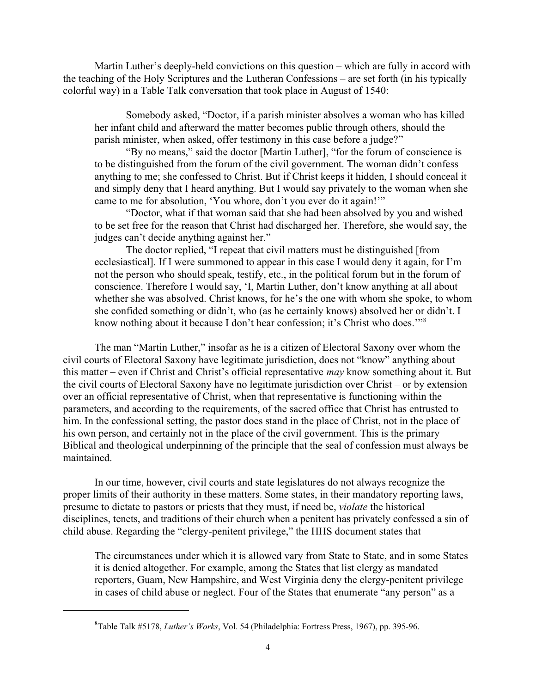Martin Luther's deeply-held convictions on this question – which are fully in accord with the teaching of the Holy Scriptures and the Lutheran Confessions – are set forth (in his typically colorful way) in a Table Talk conversation that took place in August of 1540:

Somebody asked, "Doctor, if a parish minister absolves a woman who has killed her infant child and afterward the matter becomes public through others, should the parish minister, when asked, offer testimony in this case before a judge?"

"By no means," said the doctor [Martin Luther], "for the forum of conscience is to be distinguished from the forum of the civil government. The woman didn't confess anything to me; she confessed to Christ. But if Christ keeps it hidden, I should conceal it and simply deny that I heard anything. But I would say privately to the woman when she came to me for absolution, 'You whore, don't you ever do it again!'"

"Doctor, what if that woman said that she had been absolved by you and wished to be set free for the reason that Christ had discharged her. Therefore, she would say, the judges can't decide anything against her."

The doctor replied, "I repeat that civil matters must be distinguished [from ecclesiastical]. If I were summoned to appear in this case I would deny it again, for I'm not the person who should speak, testify, etc., in the political forum but in the forum of conscience. Therefore I would say, 'I, Martin Luther, don't know anything at all about whether she was absolved. Christ knows, for he's the one with whom she spoke, to whom she confided something or didn't, who (as he certainly knows) absolved her or didn't. I know nothing about it because I don't hear confession; it's Christ who does.'"<sup>8</sup>

The man "Martin Luther," insofar as he is a citizen of Electoral Saxony over whom the civil courts of Electoral Saxony have legitimate jurisdiction, does not "know" anything about this matter – even if Christ and Christ's official representative *may* know something about it. But the civil courts of Electoral Saxony have no legitimate jurisdiction over Christ – or by extension over an official representative of Christ, when that representative is functioning within the parameters, and according to the requirements, of the sacred office that Christ has entrusted to him. In the confessional setting, the pastor does stand in the place of Christ, not in the place of his own person, and certainly not in the place of the civil government. This is the primary Biblical and theological underpinning of the principle that the seal of confession must always be maintained.

In our time, however, civil courts and state legislatures do not always recognize the proper limits of their authority in these matters. Some states, in their mandatory reporting laws, presume to dictate to pastors or priests that they must, if need be, *violate* the historical disciplines, tenets, and traditions of their church when a penitent has privately confessed a sin of child abuse. Regarding the "clergy-penitent privilege," the HHS document states that

The circumstances under which it is allowed vary from State to State, and in some States it is denied altogether. For example, among the States that list clergy as mandated reporters, Guam, New Hampshire, and West Virginia deny the clergy-penitent privilege in cases of child abuse or neglect. Four of the States that enumerate "any person" as a

<sup>8</sup> Table Talk #5178, *Luther's Works*, Vol. 54 (Philadelphia: Fortress Press, 1967), pp. 395-96.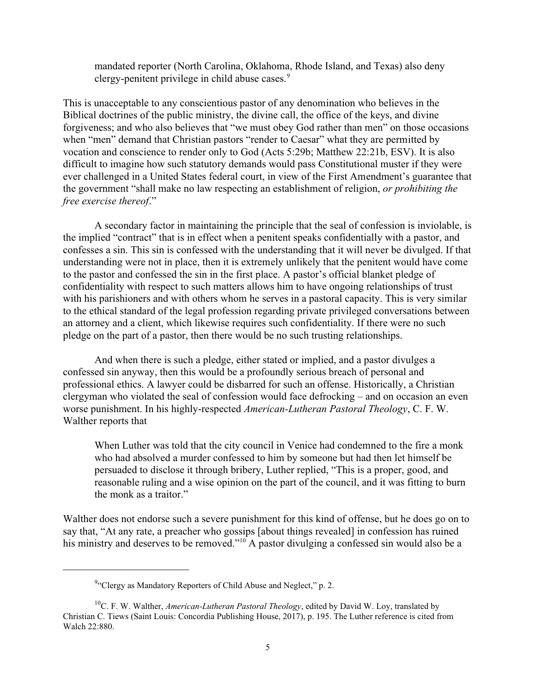mandated reporter (North Carolina, Oklahoma, Rhode Island, and Texas) also deny clergy-penitent privilege in child abuse cases.<sup>9</sup>

This is unacceptable to any conscientious pastor of any denomination who believes in the Biblical doctrines of the public ministry, the divine call, the office of the keys, and divine forgiveness; and who also believes that "we must obey God rather than men" on those occasions when "men" demand that Christian pastors "render to Caesar" what they are permitted by vocation and conscience to render only to God (Acts 5:29b; Matthew 22:21b, ESV). It is also difficult to imagine how such statutory demands would pass Constitutional muster if they were ever challenged in a United States federal court, in view of the First Amendment's guarantee that the government "shall make no law respecting an establishment of religion, *or prohibiting the free exercise thereof*."

A secondary factor in maintaining the principle that the seal of confession is inviolable, is the implied "contract" that is in effect when a penitent speaks confidentially with a pastor, and confesses a sin. This sin is confessed with the understanding that it will never be divulged. If that understanding were not in place, then it is extremely unlikely that the penitent would have come to the pastor and confessed the sin in the first place. A pastor's official blanket pledge of confidentiality with respect to such matters allows him to have ongoing relationships of trust with his parishioners and with others whom he serves in a pastoral capacity. This is very similar to the ethical standard of the legal profession regarding private privileged conversations between an attorney and a client, which likewise requires such confidentiality. If there were no such pledge on the part of a pastor, then there would be no such trusting relationships.

And when there is such a pledge, either stated or implied, and a pastor divulges a confessed sin anyway, then this would be a profoundly serious breach of personal and professional ethics. A lawyer could be disbarred for such an offense. Historically, a Christian clergyman who violated the seal of confession would face defrocking – and on occasion an even worse punishment. In his highly-respected *American-Lutheran Pastoral Theology*, C. F. W. Walther reports that

When Luther was told that the city council in Venice had condemned to the fire a monk who had absolved a murder confessed to him by someone but had then let himself be persuaded to disclose it through bribery, Luther replied, "This is a proper, good, and reasonable ruling and a wise opinion on the part of the council, and it was fitting to burn the monk as a traitor."

Walther does not endorse such a severe punishment for this kind of offense, but he does go on to say that, "At any rate, a preacher who gossips [about things revealed] in confession has ruined his ministry and deserves to be removed."<sup>10</sup> A pastor divulging a confessed sin would also be a

<sup>&</sup>lt;sup>9</sup>"Clergy as Mandatory Reporters of Child Abuse and Neglect," p. 2.

<sup>10</sup>C. F. W. Walther, *American-Lutheran Pastoral Theology*, edited by David W. Loy, translated by Christian C. Tiews (Saint Louis: Concordia Publishing House, 2017), p. 195. The Luther reference is cited from Walch 22:880.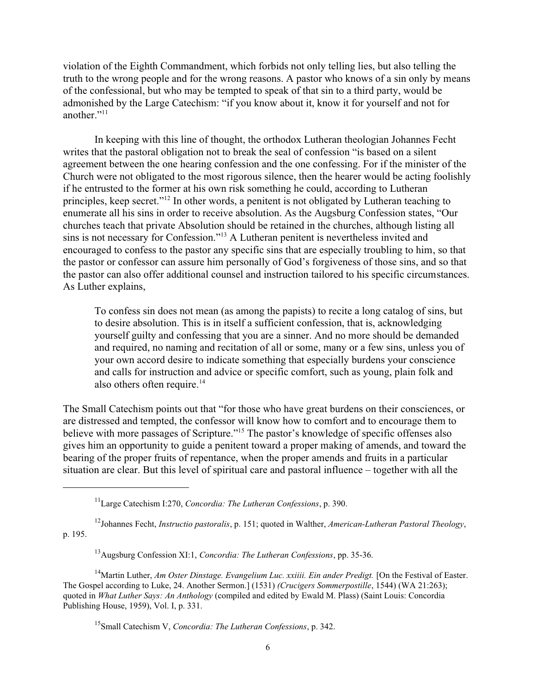violation of the Eighth Commandment, which forbids not only telling lies, but also telling the truth to the wrong people and for the wrong reasons. A pastor who knows of a sin only by means of the confessional, but who may be tempted to speak of that sin to a third party, would be admonished by the Large Catechism: "if you know about it, know it for yourself and not for another."<sup>11</sup>

In keeping with this line of thought, the orthodox Lutheran theologian Johannes Fecht writes that the pastoral obligation not to break the seal of confession "is based on a silent agreement between the one hearing confession and the one confessing. For if the minister of the Church were not obligated to the most rigorous silence, then the hearer would be acting foolishly if he entrusted to the former at his own risk something he could, according to Lutheran principles, keep secret."<sup>12</sup> In other words, a penitent is not obligated by Lutheran teaching to enumerate all his sins in order to receive absolution. As the Augsburg Confession states, "Our churches teach that private Absolution should be retained in the churches, although listing all sins is not necessary for Confession."<sup>13</sup> A Lutheran penitent is nevertheless invited and encouraged to confess to the pastor any specific sins that are especially troubling to him, so that the pastor or confessor can assure him personally of God's forgiveness of those sins, and so that the pastor can also offer additional counsel and instruction tailored to his specific circumstances. As Luther explains,

To confess sin does not mean (as among the papists) to recite a long catalog of sins, but to desire absolution. This is in itself a sufficient confession, that is, acknowledging yourself guilty and confessing that you are a sinner. And no more should be demanded and required, no naming and recitation of all or some, many or a few sins, unless you of your own accord desire to indicate something that especially burdens your conscience and calls for instruction and advice or specific comfort, such as young, plain folk and also others often require. $14$ 

The Small Catechism points out that "for those who have great burdens on their consciences, or are distressed and tempted, the confessor will know how to comfort and to encourage them to believe with more passages of Scripture."<sup>15</sup> The pastor's knowledge of specific offenses also gives him an opportunity to guide a penitent toward a proper making of amends, and toward the bearing of the proper fruits of repentance, when the proper amends and fruits in a particular situation are clear. But this level of spiritual care and pastoral influence – together with all the

<sup>11</sup> Large Catechism I:270, *Concordia: The Lutheran Confessions*, p. 390.

<sup>12</sup> Johannes Fecht, *Instructio pastoralis*, p. 151; quoted in Walther, *American-Lutheran Pastoral Theology*, p. 195.

<sup>13</sup>Augsburg Confession XI:1, *Concordia: The Lutheran Confessions*, pp. 35-36.

<sup>&</sup>lt;sup>14</sup>Martin Luther, *Am Oster Dinstage. Evangelium Luc. xxiiii. Ein ander Predigt.* [On the Festival of Easter. The Gospel according to Luke, 24. Another Sermon.] (1531) *(Crucigers Sommerpostille*, 1544) (WA 21:263); quoted in *What Luther Says: An Anthology* (compiled and edited by Ewald M. Plass) (Saint Louis: Concordia Publishing House, 1959), Vol. I, p. 331.

<sup>15</sup> Small Catechism V, *Concordia: The Lutheran Confessions*, p. 342.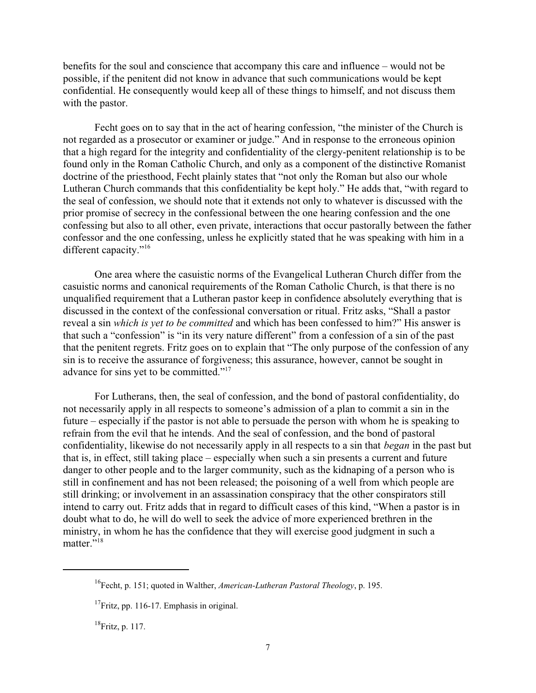benefits for the soul and conscience that accompany this care and influence – would not be possible, if the penitent did not know in advance that such communications would be kept confidential. He consequently would keep all of these things to himself, and not discuss them with the pastor.

Fecht goes on to say that in the act of hearing confession, "the minister of the Church is not regarded as a prosecutor or examiner or judge." And in response to the erroneous opinion that a high regard for the integrity and confidentiality of the clergy-penitent relationship is to be found only in the Roman Catholic Church, and only as a component of the distinctive Romanist doctrine of the priesthood, Fecht plainly states that "not only the Roman but also our whole Lutheran Church commands that this confidentiality be kept holy." He adds that, "with regard to the seal of confession, we should note that it extends not only to whatever is discussed with the prior promise of secrecy in the confessional between the one hearing confession and the one confessing but also to all other, even private, interactions that occur pastorally between the father confessor and the one confessing, unless he explicitly stated that he was speaking with him in a different capacity."<sup>16</sup>

One area where the casuistic norms of the Evangelical Lutheran Church differ from the casuistic norms and canonical requirements of the Roman Catholic Church, is that there is no unqualified requirement that a Lutheran pastor keep in confidence absolutely everything that is discussed in the context of the confessional conversation or ritual. Fritz asks, "Shall a pastor reveal a sin *which is yet to be committed* and which has been confessed to him?" His answer is that such a "confession" is "in its very nature different" from a confession of a sin of the past that the penitent regrets. Fritz goes on to explain that "The only purpose of the confession of any sin is to receive the assurance of forgiveness; this assurance, however, cannot be sought in advance for sins yet to be committed."<sup>17</sup>

For Lutherans, then, the seal of confession, and the bond of pastoral confidentiality, do not necessarily apply in all respects to someone's admission of a plan to commit a sin in the future – especially if the pastor is not able to persuade the person with whom he is speaking to refrain from the evil that he intends. And the seal of confession, and the bond of pastoral confidentiality, likewise do not necessarily apply in all respects to a sin that *began* in the past but that is, in effect, still taking place – especially when such a sin presents a current and future danger to other people and to the larger community, such as the kidnaping of a person who is still in confinement and has not been released; the poisoning of a well from which people are still drinking; or involvement in an assassination conspiracy that the other conspirators still intend to carry out. Fritz adds that in regard to difficult cases of this kind, "When a pastor is in doubt what to do, he will do well to seek the advice of more experienced brethren in the ministry, in whom he has the confidence that they will exercise good judgment in such a matter."<sup>18</sup>

<sup>&</sup>lt;sup>16</sup> Fecht, p. 151; quoted in Walther, *American-Lutheran Pastoral Theology*, p. 195.

<sup>&</sup>lt;sup>17</sup> Fritz, pp. 116-17. Emphasis in original.

 $^{18}$ Fritz, p. 117.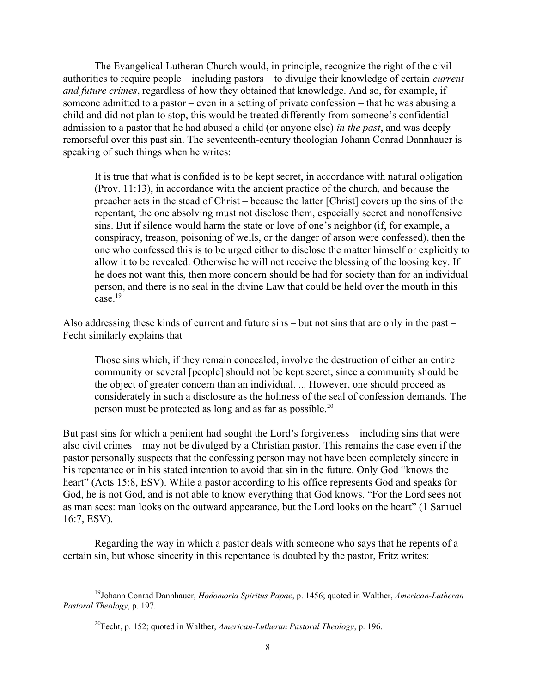The Evangelical Lutheran Church would, in principle, recognize the right of the civil authorities to require people – including pastors – to divulge their knowledge of certain *current and future crimes*, regardless of how they obtained that knowledge. And so, for example, if someone admitted to a pastor – even in a setting of private confession – that he was abusing a child and did not plan to stop, this would be treated differently from someone's confidential admission to a pastor that he had abused a child (or anyone else) *in the past*, and was deeply remorseful over this past sin. The seventeenth-century theologian Johann Conrad Dannhauer is speaking of such things when he writes:

It is true that what is confided is to be kept secret, in accordance with natural obligation (Prov. 11:13), in accordance with the ancient practice of the church, and because the preacher acts in the stead of Christ – because the latter [Christ] covers up the sins of the repentant, the one absolving must not disclose them, especially secret and nonoffensive sins. But if silence would harm the state or love of one's neighbor (if, for example, a conspiracy, treason, poisoning of wells, or the danger of arson were confessed), then the one who confessed this is to be urged either to disclose the matter himself or explicitly to allow it to be revealed. Otherwise he will not receive the blessing of the loosing key. If he does not want this, then more concern should be had for society than for an individual person, and there is no seal in the divine Law that could be held over the mouth in this  $case<sup>19</sup>$ 

Also addressing these kinds of current and future sins – but not sins that are only in the past – Fecht similarly explains that

Those sins which, if they remain concealed, involve the destruction of either an entire community or several [people] should not be kept secret, since a community should be the object of greater concern than an individual. ... However, one should proceed as considerately in such a disclosure as the holiness of the seal of confession demands. The person must be protected as long and as far as possible.<sup>20</sup>

But past sins for which a penitent had sought the Lord's forgiveness – including sins that were also civil crimes – may not be divulged by a Christian pastor. This remains the case even if the pastor personally suspects that the confessing person may not have been completely sincere in his repentance or in his stated intention to avoid that sin in the future. Only God "knows the heart" (Acts 15:8, ESV). While a pastor according to his office represents God and speaks for God, he is not God, and is not able to know everything that God knows. "For the Lord sees not as man sees: man looks on the outward appearance, but the Lord looks on the heart" (1 Samuel 16:7, ESV).

Regarding the way in which a pastor deals with someone who says that he repents of a certain sin, but whose sincerity in this repentance is doubted by the pastor, Fritz writes:

<sup>19</sup> Johann Conrad Dannhauer, *Hodomoria Spiritus Papae*, p. 1456; quoted in Walther, *American-Lutheran Pastoral Theology*, p. 197.

<sup>20</sup> Fecht, p. 152; quoted in Walther, *American-Lutheran Pastoral Theology*, p. 196.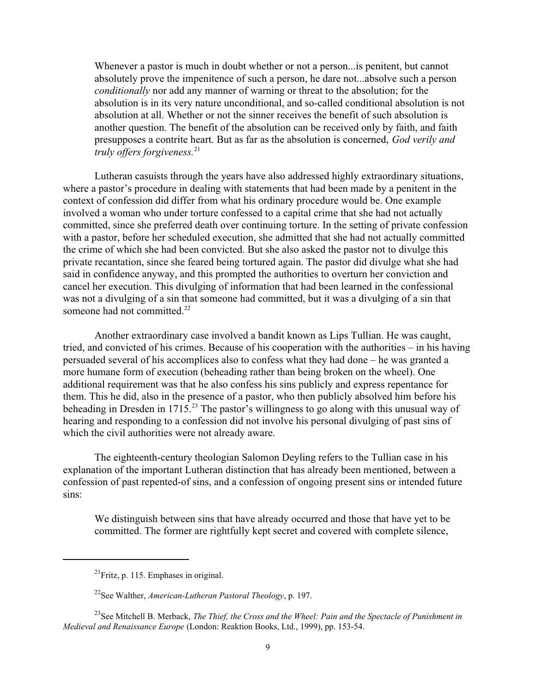Whenever a pastor is much in doubt whether or not a person...is penitent, but cannot absolutely prove the impenitence of such a person, he dare not...absolve such a person *conditionally* nor add any manner of warning or threat to the absolution; for the absolution is in its very nature unconditional, and so-called conditional absolution is not absolution at all. Whether or not the sinner receives the benefit of such absolution is another question. The benefit of the absolution can be received only by faith, and faith presupposes a contrite heart. But as far as the absolution is concerned, *God verily and truly offers forgiveness.*<sup>21</sup>

Lutheran casuists through the years have also addressed highly extraordinary situations, where a pastor's procedure in dealing with statements that had been made by a penitent in the context of confession did differ from what his ordinary procedure would be. One example involved a woman who under torture confessed to a capital crime that she had not actually committed, since she preferred death over continuing torture. In the setting of private confession with a pastor, before her scheduled execution, she admitted that she had not actually committed the crime of which she had been convicted. But she also asked the pastor not to divulge this private recantation, since she feared being tortured again. The pastor did divulge what she had said in confidence anyway, and this prompted the authorities to overturn her conviction and cancel her execution. This divulging of information that had been learned in the confessional was not a divulging of a sin that someone had committed, but it was a divulging of a sin that someone had not committed.<sup>22</sup>

Another extraordinary case involved a bandit known as Lips Tullian. He was caught, tried, and convicted of his crimes. Because of his cooperation with the authorities – in his having persuaded several of his accomplices also to confess what they had done – he was granted a more humane form of execution (beheading rather than being broken on the wheel). One additional requirement was that he also confess his sins publicly and express repentance for them. This he did, also in the presence of a pastor, who then publicly absolved him before his beheading in Dresden in 1715.<sup>23</sup> The pastor's willingness to go along with this unusual way of hearing and responding to a confession did not involve his personal divulging of past sins of which the civil authorities were not already aware.

The eighteenth-century theologian Salomon Deyling refers to the Tullian case in his explanation of the important Lutheran distinction that has already been mentioned, between a confession of past repented-of sins, and a confession of ongoing present sins or intended future sins:

We distinguish between sins that have already occurred and those that have yet to be committed. The former are rightfully kept secret and covered with complete silence,

 $^{21}$ Fritz, p. 115. Emphases in original.

<sup>22</sup> See Walther, *American-Lutheran Pastoral Theology*, p. 197.

<sup>23</sup> See Mitchell B. Merback, *The Thief, the Cross and the Wheel: Pain and the Spectacle of Punishment in Medieval and Renaissance Europe* (London: Reaktion Books, Ltd., 1999), pp. 153-54.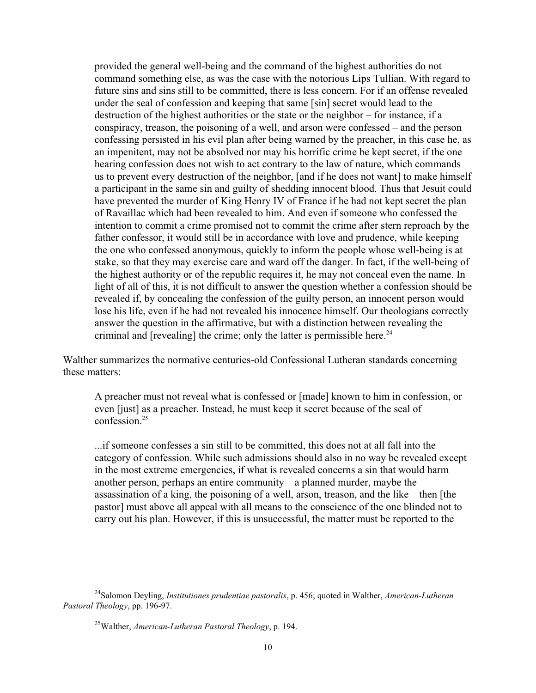provided the general well-being and the command of the highest authorities do not command something else, as was the case with the notorious Lips Tullian. With regard to future sins and sins still to be committed, there is less concern. For if an offense revealed under the seal of confession and keeping that same [sin] secret would lead to the destruction of the highest authorities or the state or the neighbor – for instance, if a conspiracy, treason, the poisoning of a well, and arson were confessed – and the person confessing persisted in his evil plan after being warned by the preacher, in this case he, as an impenitent, may not be absolved nor may his horrific crime be kept secret, if the one hearing confession does not wish to act contrary to the law of nature, which commands us to prevent every destruction of the neighbor, [and if he does not want] to make himself a participant in the same sin and guilty of shedding innocent blood. Thus that Jesuit could have prevented the murder of King Henry IV of France if he had not kept secret the plan of Ravaillac which had been revealed to him. And even if someone who confessed the intention to commit a crime promised not to commit the crime after stern reproach by the father confessor, it would still be in accordance with love and prudence, while keeping the one who confessed anonymous, quickly to inform the people whose well-being is at stake, so that they may exercise care and ward off the danger. In fact, if the well-being of the highest authority or of the republic requires it, he may not conceal even the name. In light of all of this, it is not difficult to answer the question whether a confession should be revealed if, by concealing the confession of the guilty person, an innocent person would lose his life, even if he had not revealed his innocence himself. Our theologians correctly answer the question in the affirmative, but with a distinction between revealing the criminal and [revealing] the crime; only the latter is permissible here.<sup>24</sup>

Walther summarizes the normative centuries-old Confessional Lutheran standards concerning these matters:

A preacher must not reveal what is confessed or [made] known to him in confession, or even [just] as a preacher. Instead, he must keep it secret because of the seal of confession<sup>25</sup>

...if someone confesses a sin still to be committed, this does not at all fall into the category of confession. While such admissions should also in no way be revealed except in the most extreme emergencies, if what is revealed concerns a sin that would harm another person, perhaps an entire community – a planned murder, maybe the assassination of a king, the poisoning of a well, arson, treason, and the like – then [the pastor] must above all appeal with all means to the conscience of the one blinded not to carry out his plan. However, if this is unsuccessful, the matter must be reported to the

<sup>24</sup> Salomon Deyling, *Institutiones prudentiae pastoralis*, p. 456; quoted in Walther, *American-Lutheran Pastoral Theology*, pp. 196-97.

<sup>25</sup>Walther, *American-Lutheran Pastoral Theology*, p. 194.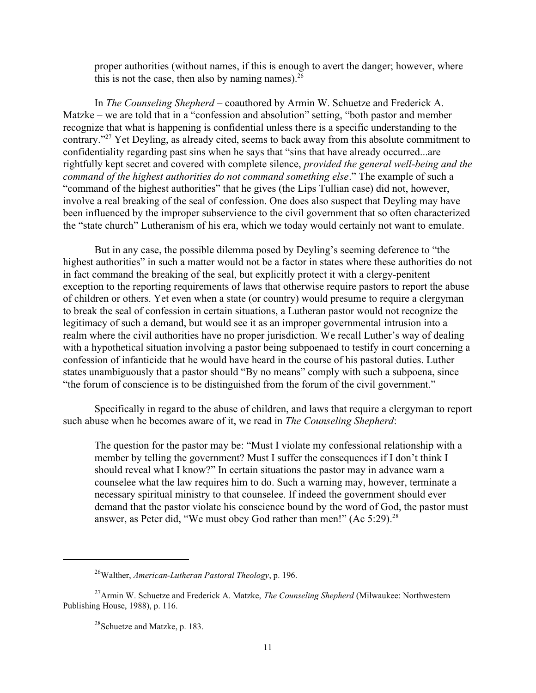proper authorities (without names, if this is enough to avert the danger; however, where this is not the case, then also by naming names).  $26$ 

In *The Counseling Shepherd* – coauthored by Armin W. Schuetze and Frederick A. Matzke – we are told that in a "confession and absolution" setting, "both pastor and member recognize that what is happening is confidential unless there is a specific understanding to the contrary."<sup>27</sup> Yet Deyling, as already cited, seems to back away from this absolute commitment to confidentiality regarding past sins when he says that "sins that have already occurred...are rightfully kept secret and covered with complete silence, *provided the general well-being and the command of the highest authorities do not command something else*." The example of such a "command of the highest authorities" that he gives (the Lips Tullian case) did not, however, involve a real breaking of the seal of confession. One does also suspect that Deyling may have been influenced by the improper subservience to the civil government that so often characterized the "state church" Lutheranism of his era, which we today would certainly not want to emulate.

But in any case, the possible dilemma posed by Deyling's seeming deference to "the highest authorities" in such a matter would not be a factor in states where these authorities do not in fact command the breaking of the seal, but explicitly protect it with a clergy-penitent exception to the reporting requirements of laws that otherwise require pastors to report the abuse of children or others. Yet even when a state (or country) would presume to require a clergyman to break the seal of confession in certain situations, a Lutheran pastor would not recognize the legitimacy of such a demand, but would see it as an improper governmental intrusion into a realm where the civil authorities have no proper jurisdiction. We recall Luther's way of dealing with a hypothetical situation involving a pastor being subpoenaed to testify in court concerning a confession of infanticide that he would have heard in the course of his pastoral duties. Luther states unambiguously that a pastor should "By no means" comply with such a subpoena, since "the forum of conscience is to be distinguished from the forum of the civil government."

Specifically in regard to the abuse of children, and laws that require a clergyman to report such abuse when he becomes aware of it, we read in *The Counseling Shepherd*:

The question for the pastor may be: "Must I violate my confessional relationship with a member by telling the government? Must I suffer the consequences if I don't think I should reveal what I know?" In certain situations the pastor may in advance warn a counselee what the law requires him to do. Such a warning may, however, terminate a necessary spiritual ministry to that counselee. If indeed the government should ever demand that the pastor violate his conscience bound by the word of God, the pastor must answer, as Peter did, "We must obey God rather than men!" (Ac  $5:29$ ).<sup>28</sup>

<sup>26</sup>Walther, *American-Lutheran Pastoral Theology*, p. 196.

<sup>27</sup>Armin W. Schuetze and Frederick A. Matzke, *The Counseling Shepherd* (Milwaukee: Northwestern Publishing House, 1988), p. 116.

 $^{28}$ Schuetze and Matzke, p. 183.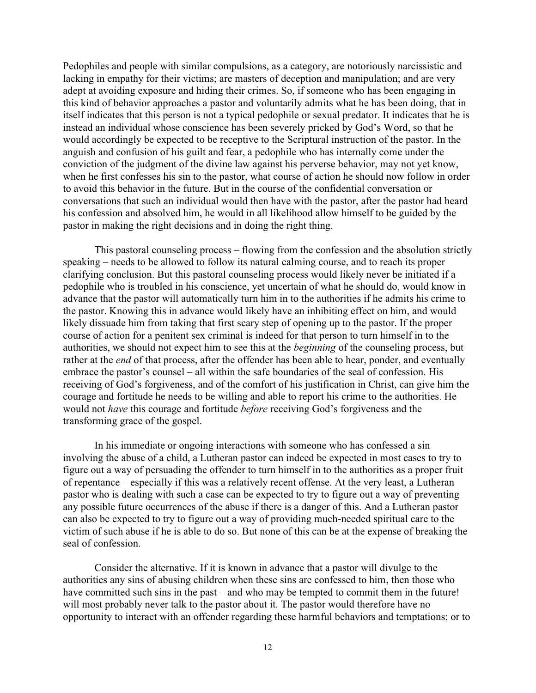Pedophiles and people with similar compulsions, as a category, are notoriously narcissistic and lacking in empathy for their victims; are masters of deception and manipulation; and are very adept at avoiding exposure and hiding their crimes. So, if someone who has been engaging in this kind of behavior approaches a pastor and voluntarily admits what he has been doing, that in itself indicates that this person is not a typical pedophile or sexual predator. It indicates that he is instead an individual whose conscience has been severely pricked by God's Word, so that he would accordingly be expected to be receptive to the Scriptural instruction of the pastor. In the anguish and confusion of his guilt and fear, a pedophile who has internally come under the conviction of the judgment of the divine law against his perverse behavior, may not yet know, when he first confesses his sin to the pastor, what course of action he should now follow in order to avoid this behavior in the future. But in the course of the confidential conversation or conversations that such an individual would then have with the pastor, after the pastor had heard his confession and absolved him, he would in all likelihood allow himself to be guided by the pastor in making the right decisions and in doing the right thing.

This pastoral counseling process – flowing from the confession and the absolution strictly speaking – needs to be allowed to follow its natural calming course, and to reach its proper clarifying conclusion. But this pastoral counseling process would likely never be initiated if a pedophile who is troubled in his conscience, yet uncertain of what he should do, would know in advance that the pastor will automatically turn him in to the authorities if he admits his crime to the pastor. Knowing this in advance would likely have an inhibiting effect on him, and would likely dissuade him from taking that first scary step of opening up to the pastor. If the proper course of action for a penitent sex criminal is indeed for that person to turn himself in to the authorities, we should not expect him to see this at the *beginning* of the counseling process, but rather at the *end* of that process, after the offender has been able to hear, ponder, and eventually embrace the pastor's counsel – all within the safe boundaries of the seal of confession. His receiving of God's forgiveness, and of the comfort of his justification in Christ, can give him the courage and fortitude he needs to be willing and able to report his crime to the authorities. He would not *have* this courage and fortitude *before* receiving God's forgiveness and the transforming grace of the gospel.

In his immediate or ongoing interactions with someone who has confessed a sin involving the abuse of a child, a Lutheran pastor can indeed be expected in most cases to try to figure out a way of persuading the offender to turn himself in to the authorities as a proper fruit of repentance – especially if this was a relatively recent offense. At the very least, a Lutheran pastor who is dealing with such a case can be expected to try to figure out a way of preventing any possible future occurrences of the abuse if there is a danger of this. And a Lutheran pastor can also be expected to try to figure out a way of providing much-needed spiritual care to the victim of such abuse if he is able to do so. But none of this can be at the expense of breaking the seal of confession.

Consider the alternative. If it is known in advance that a pastor will divulge to the authorities any sins of abusing children when these sins are confessed to him, then those who have committed such sins in the past – and who may be tempted to commit them in the future! – will most probably never talk to the pastor about it. The pastor would therefore have no opportunity to interact with an offender regarding these harmful behaviors and temptations; or to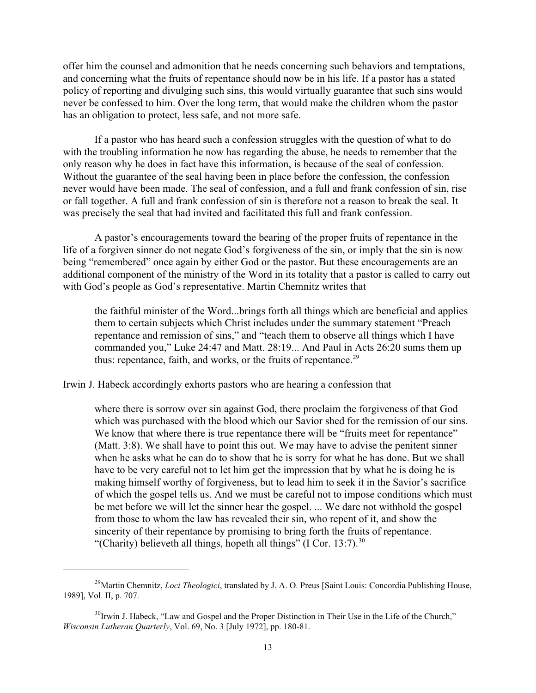offer him the counsel and admonition that he needs concerning such behaviors and temptations, and concerning what the fruits of repentance should now be in his life. If a pastor has a stated policy of reporting and divulging such sins, this would virtually guarantee that such sins would never be confessed to him. Over the long term, that would make the children whom the pastor has an obligation to protect, less safe, and not more safe.

If a pastor who has heard such a confession struggles with the question of what to do with the troubling information he now has regarding the abuse, he needs to remember that the only reason why he does in fact have this information, is because of the seal of confession. Without the guarantee of the seal having been in place before the confession, the confession never would have been made. The seal of confession, and a full and frank confession of sin, rise or fall together. A full and frank confession of sin is therefore not a reason to break the seal. It was precisely the seal that had invited and facilitated this full and frank confession.

A pastor's encouragements toward the bearing of the proper fruits of repentance in the life of a forgiven sinner do not negate God's forgiveness of the sin, or imply that the sin is now being "remembered" once again by either God or the pastor. But these encouragements are an additional component of the ministry of the Word in its totality that a pastor is called to carry out with God's people as God's representative. Martin Chemnitz writes that

the faithful minister of the Word...brings forth all things which are beneficial and applies them to certain subjects which Christ includes under the summary statement "Preach repentance and remission of sins," and "teach them to observe all things which I have commanded you," Luke 24:47 and Matt. 28:19... And Paul in Acts 26:20 sums them up thus: repentance, faith, and works, or the fruits of repentance.<sup>29</sup>

Irwin J. Habeck accordingly exhorts pastors who are hearing a confession that

where there is sorrow over sin against God, there proclaim the forgiveness of that God which was purchased with the blood which our Savior shed for the remission of our sins. We know that where there is true repentance there will be "fruits meet for repentance" (Matt. 3:8). We shall have to point this out. We may have to advise the penitent sinner when he asks what he can do to show that he is sorry for what he has done. But we shall have to be very careful not to let him get the impression that by what he is doing he is making himself worthy of forgiveness, but to lead him to seek it in the Savior's sacrifice of which the gospel tells us. And we must be careful not to impose conditions which must be met before we will let the sinner hear the gospel. ... We dare not withhold the gospel from those to whom the law has revealed their sin, who repent of it, and show the sincerity of their repentance by promising to bring forth the fruits of repentance. "(Charity) believeth all things, hopeth all things" (I Cor. 13:7). $30$ 

<sup>&</sup>lt;sup>29</sup>Martin Chemnitz, *Loci Theologici*, translated by J. A. O. Preus [Saint Louis: Concordia Publishing House, 1989], Vol. II, p. 707.

<sup>&</sup>lt;sup>30</sup>Irwin J. Habeck, "Law and Gospel and the Proper Distinction in Their Use in the Life of the Church," *Wisconsin Lutheran Quarterly*, Vol. 69, No. 3 [July 1972], pp. 180-81.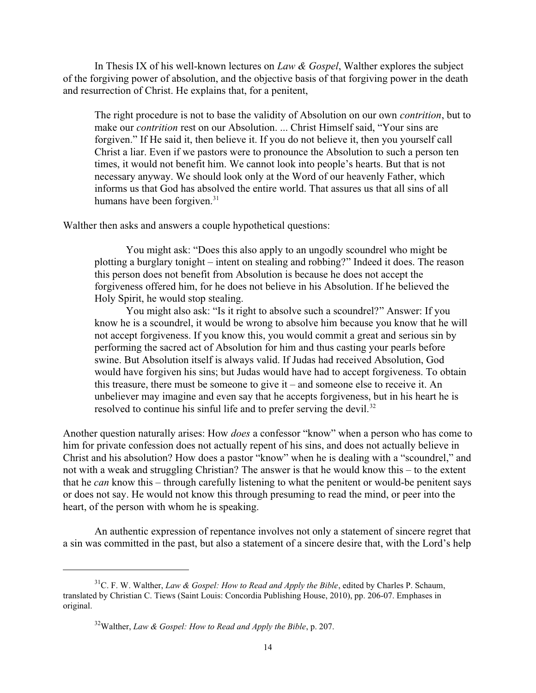In Thesis IX of his well-known lectures on *Law & Gospel*, Walther explores the subject of the forgiving power of absolution, and the objective basis of that forgiving power in the death and resurrection of Christ. He explains that, for a penitent,

The right procedure is not to base the validity of Absolution on our own *contrition*, but to make our *contrition* rest on our Absolution. ... Christ Himself said, "Your sins are forgiven." If He said it, then believe it. If you do not believe it, then you yourself call Christ a liar. Even if we pastors were to pronounce the Absolution to such a person ten times, it would not benefit him. We cannot look into people's hearts. But that is not necessary anyway. We should look only at the Word of our heavenly Father, which informs us that God has absolved the entire world. That assures us that all sins of all humans have been forgiven.<sup>31</sup>

Walther then asks and answers a couple hypothetical questions:

You might ask: "Does this also apply to an ungodly scoundrel who might be plotting a burglary tonight – intent on stealing and robbing?" Indeed it does. The reason this person does not benefit from Absolution is because he does not accept the forgiveness offered him, for he does not believe in his Absolution. If he believed the Holy Spirit, he would stop stealing.

You might also ask: "Is it right to absolve such a scoundrel?" Answer: If you know he is a scoundrel, it would be wrong to absolve him because you know that he will not accept forgiveness. If you know this, you would commit a great and serious sin by performing the sacred act of Absolution for him and thus casting your pearls before swine. But Absolution itself is always valid. If Judas had received Absolution, God would have forgiven his sins; but Judas would have had to accept forgiveness. To obtain this treasure, there must be someone to give it – and someone else to receive it. An unbeliever may imagine and even say that he accepts forgiveness, but in his heart he is resolved to continue his sinful life and to prefer serving the devil.<sup>32</sup>

Another question naturally arises: How *does* a confessor "know" when a person who has come to him for private confession does not actually repent of his sins, and does not actually believe in Christ and his absolution? How does a pastor "know" when he is dealing with a "scoundrel," and not with a weak and struggling Christian? The answer is that he would know this – to the extent that he *can* know this – through carefully listening to what the penitent or would-be penitent says or does not say. He would not know this through presuming to read the mind, or peer into the heart, of the person with whom he is speaking.

An authentic expression of repentance involves not only a statement of sincere regret that a sin was committed in the past, but also a statement of a sincere desire that, with the Lord's help

<sup>31</sup>C. F. W. Walther, *Law & Gospel: How to Read and Apply the Bible*, edited by Charles P. Schaum, translated by Christian C. Tiews (Saint Louis: Concordia Publishing House, 2010), pp. 206-07. Emphases in original.

<sup>32</sup>Walther, *Law & Gospel: How to Read and Apply the Bible*, p. 207.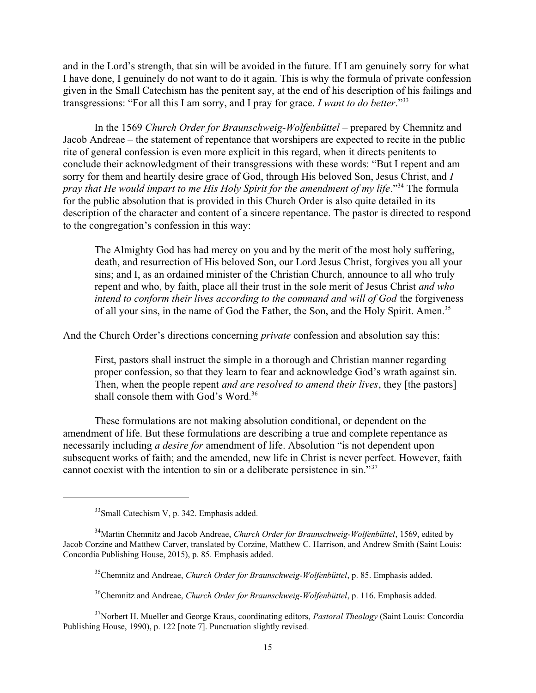and in the Lord's strength, that sin will be avoided in the future. If I am genuinely sorry for what I have done, I genuinely do not want to do it again. This is why the formula of private confession given in the Small Catechism has the penitent say, at the end of his description of his failings and transgressions: "For all this I am sorry, and I pray for grace. *I want to do better*." 33

In the 1569 *Church Order for Braunschweig-Wolfenbüttel* – prepared by Chemnitz and Jacob Andreae – the statement of repentance that worshipers are expected to recite in the public rite of general confession is even more explicit in this regard, when it directs penitents to conclude their acknowledgment of their transgressions with these words: "But I repent and am sorry for them and heartily desire grace of God, through His beloved Son, Jesus Christ, and *I* pray that He would impart to me His Holy Spirit for the amendment of my life."<sup>34</sup> The formula for the public absolution that is provided in this Church Order is also quite detailed in its description of the character and content of a sincere repentance. The pastor is directed to respond to the congregation's confession in this way:

The Almighty God has had mercy on you and by the merit of the most holy suffering, death, and resurrection of His beloved Son, our Lord Jesus Christ, forgives you all your sins; and I, as an ordained minister of the Christian Church, announce to all who truly repent and who, by faith, place all their trust in the sole merit of Jesus Christ *and who intend to conform their lives according to the command and will of God the forgiveness* of all your sins, in the name of God the Father, the Son, and the Holy Spirit. Amen.<sup>35</sup>

And the Church Order's directions concerning *private* confession and absolution say this:

First, pastors shall instruct the simple in a thorough and Christian manner regarding proper confession, so that they learn to fear and acknowledge God's wrath against sin. Then, when the people repent *and are resolved to amend their lives*, they [the pastors] shall console them with God's Word.<sup>36</sup>

These formulations are not making absolution conditional, or dependent on the amendment of life. But these formulations are describing a true and complete repentance as necessarily including *a desire for* amendment of life. Absolution "is not dependent upon subsequent works of faith; and the amended, new life in Christ is never perfect. However, faith cannot coexist with the intention to sin or a deliberate persistence in sin."<sup>37</sup>

<sup>&</sup>lt;sup>33</sup> Small Catechism V, p. 342. Emphasis added.

<sup>34</sup>Martin Chemnitz and Jacob Andreae, *Church Order for Braunschweig-Wolfenbüttel*, 1569, edited by Jacob Corzine and Matthew Carver, translated by Corzine, Matthew C. Harrison, and Andrew Smith (Saint Louis: Concordia Publishing House, 2015), p. 85. Emphasis added.

<sup>35</sup>Chemnitz and Andreae, *Church Order for Braunschweig-Wolfenbüttel*, p. 85. Emphasis added.

<sup>36</sup>Chemnitz and Andreae, *Church Order for Braunschweig-Wolfenbüttel*, p. 116. Emphasis added.

<sup>37</sup>Norbert H. Mueller and George Kraus, coordinating editors, *Pastoral Theology* (Saint Louis: Concordia Publishing House, 1990), p. 122 [note 7]. Punctuation slightly revised.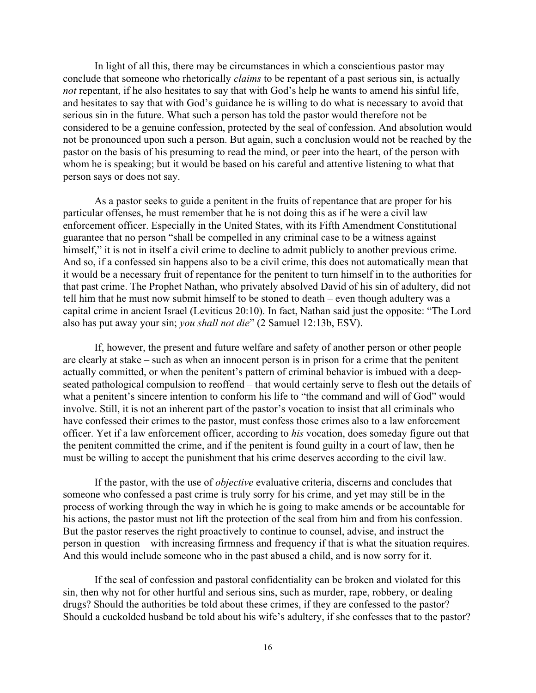In light of all this, there may be circumstances in which a conscientious pastor may conclude that someone who rhetorically *claims* to be repentant of a past serious sin, is actually *not* repentant, if he also hesitates to say that with God's help he wants to amend his sinful life, and hesitates to say that with God's guidance he is willing to do what is necessary to avoid that serious sin in the future. What such a person has told the pastor would therefore not be considered to be a genuine confession, protected by the seal of confession. And absolution would not be pronounced upon such a person. But again, such a conclusion would not be reached by the pastor on the basis of his presuming to read the mind, or peer into the heart, of the person with whom he is speaking; but it would be based on his careful and attentive listening to what that person says or does not say.

As a pastor seeks to guide a penitent in the fruits of repentance that are proper for his particular offenses, he must remember that he is not doing this as if he were a civil law enforcement officer. Especially in the United States, with its Fifth Amendment Constitutional guarantee that no person "shall be compelled in any criminal case to be a witness against himself," it is not in itself a civil crime to decline to admit publicly to another previous crime. And so, if a confessed sin happens also to be a civil crime, this does not automatically mean that it would be a necessary fruit of repentance for the penitent to turn himself in to the authorities for that past crime. The Prophet Nathan, who privately absolved David of his sin of adultery, did not tell him that he must now submit himself to be stoned to death – even though adultery was a capital crime in ancient Israel (Leviticus 20:10). In fact, Nathan said just the opposite: "The Lord also has put away your sin; *you shall not die*" (2 Samuel 12:13b, ESV).

If, however, the present and future welfare and safety of another person or other people are clearly at stake – such as when an innocent person is in prison for a crime that the penitent actually committed, or when the penitent's pattern of criminal behavior is imbued with a deepseated pathological compulsion to reoffend – that would certainly serve to flesh out the details of what a penitent's sincere intention to conform his life to "the command and will of God" would involve. Still, it is not an inherent part of the pastor's vocation to insist that all criminals who have confessed their crimes to the pastor, must confess those crimes also to a law enforcement officer. Yet if a law enforcement officer, according to *his* vocation, does someday figure out that the penitent committed the crime, and if the penitent is found guilty in a court of law, then he must be willing to accept the punishment that his crime deserves according to the civil law.

If the pastor, with the use of *objective* evaluative criteria, discerns and concludes that someone who confessed a past crime is truly sorry for his crime, and yet may still be in the process of working through the way in which he is going to make amends or be accountable for his actions, the pastor must not lift the protection of the seal from him and from his confession. But the pastor reserves the right proactively to continue to counsel, advise, and instruct the person in question – with increasing firmness and frequency if that is what the situation requires. And this would include someone who in the past abused a child, and is now sorry for it.

If the seal of confession and pastoral confidentiality can be broken and violated for this sin, then why not for other hurtful and serious sins, such as murder, rape, robbery, or dealing drugs? Should the authorities be told about these crimes, if they are confessed to the pastor? Should a cuckolded husband be told about his wife's adultery, if she confesses that to the pastor?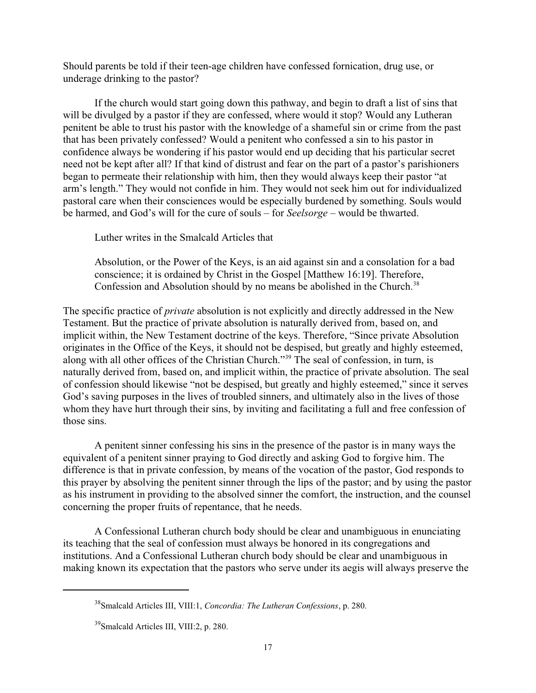Should parents be told if their teen-age children have confessed fornication, drug use, or underage drinking to the pastor?

If the church would start going down this pathway, and begin to draft a list of sins that will be divulged by a pastor if they are confessed, where would it stop? Would any Lutheran penitent be able to trust his pastor with the knowledge of a shameful sin or crime from the past that has been privately confessed? Would a penitent who confessed a sin to his pastor in confidence always be wondering if his pastor would end up deciding that his particular secret need not be kept after all? If that kind of distrust and fear on the part of a pastor's parishioners began to permeate their relationship with him, then they would always keep their pastor "at arm's length." They would not confide in him. They would not seek him out for individualized pastoral care when their consciences would be especially burdened by something. Souls would be harmed, and God's will for the cure of souls – for *Seelsorge* – would be thwarted.

Luther writes in the Smalcald Articles that

Absolution, or the Power of the Keys, is an aid against sin and a consolation for a bad conscience; it is ordained by Christ in the Gospel [Matthew 16:19]. Therefore, Confession and Absolution should by no means be abolished in the Church.<sup>38</sup>

The specific practice of *private* absolution is not explicitly and directly addressed in the New Testament. But the practice of private absolution is naturally derived from, based on, and implicit within, the New Testament doctrine of the keys. Therefore, "Since private Absolution originates in the Office of the Keys, it should not be despised, but greatly and highly esteemed, along with all other offices of the Christian Church."<sup>39</sup> The seal of confession, in turn, is naturally derived from, based on, and implicit within, the practice of private absolution. The seal of confession should likewise "not be despised, but greatly and highly esteemed," since it serves God's saving purposes in the lives of troubled sinners, and ultimately also in the lives of those whom they have hurt through their sins, by inviting and facilitating a full and free confession of those sins.

A penitent sinner confessing his sins in the presence of the pastor is in many ways the equivalent of a penitent sinner praying to God directly and asking God to forgive him. The difference is that in private confession, by means of the vocation of the pastor, God responds to this prayer by absolving the penitent sinner through the lips of the pastor; and by using the pastor as his instrument in providing to the absolved sinner the comfort, the instruction, and the counsel concerning the proper fruits of repentance, that he needs.

A Confessional Lutheran church body should be clear and unambiguous in enunciating its teaching that the seal of confession must always be honored in its congregations and institutions. And a Confessional Lutheran church body should be clear and unambiguous in making known its expectation that the pastors who serve under its aegis will always preserve the

<sup>38</sup> Smalcald Articles III, VIII:1, *Concordia: The Lutheran Confessions*, p. 280.

<sup>39</sup> Smalcald Articles III, VIII:2, p. 280.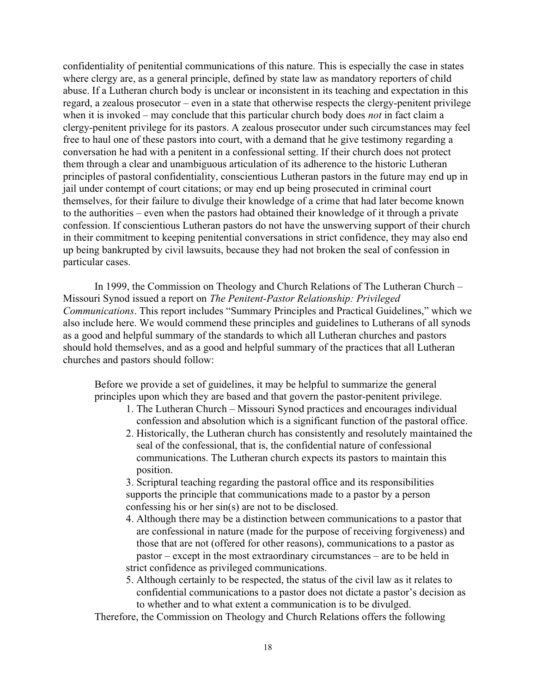confidentiality of penitential communications of this nature. This is especially the case in states where clergy are, as a general principle, defined by state law as mandatory reporters of child abuse. If a Lutheran church body is unclear or inconsistent in its teaching and expectation in this regard, a zealous prosecutor – even in a state that otherwise respects the clergy-penitent privilege when it is invoked – may conclude that this particular church body does *not* in fact claim a clergy-penitent privilege for its pastors. A zealous prosecutor under such circumstances may feel free to haul one of these pastors into court, with a demand that he give testimony regarding a conversation he had with a penitent in a confessional setting. If their church does not protect them through a clear and unambiguous articulation of its adherence to the historic Lutheran principles of pastoral confidentiality, conscientious Lutheran pastors in the future may end up in jail under contempt of court citations; or may end up being prosecuted in criminal court themselves, for their failure to divulge their knowledge of a crime that had later become known to the authorities – even when the pastors had obtained their knowledge of it through a private confession. If conscientious Lutheran pastors do not have the unswerving support of their church in their commitment to keeping penitential conversations in strict confidence, they may also end up being bankrupted by civil lawsuits, because they had not broken the seal of confession in particular cases.

In 1999, the Commission on Theology and Church Relations of The Lutheran Church – Missouri Synod issued a report on *The Penitent-Pastor Relationship: Privileged Communications*. This report includes "Summary Principles and Practical Guidelines," which we also include here. We would commend these principles and guidelines to Lutherans of all synods as a good and helpful summary of the standards to which all Lutheran churches and pastors should hold themselves, and as a good and helpful summary of the practices that all Lutheran churches and pastors should follow:

Before we provide a set of guidelines, it may be helpful to summarize the general principles upon which they are based and that govern the pastor-penitent privilege.

- 1. The Lutheran Church Missouri Synod practices and encourages individual confession and absolution which is a significant function of the pastoral office.
- 2. Historically, the Lutheran church has consistently and resolutely maintained the seal of the confessional, that is, the confidential nature of confessional communications. The Lutheran church expects its pastors to maintain this position.

 3. Scriptural teaching regarding the pastoral office and its responsibilities supports the principle that communications made to a pastor by a person confessing his or her sin(s) are not to be disclosed.

- 4. Although there may be a distinction between communications to a pastor that are confessional in nature (made for the purpose of receiving forgiveness) and those that are not (offered for other reasons), communications to a pastor as pastor – except in the most extraordinary circumstances – are to be held in strict confidence as privileged communications.
- 5. Although certainly to be respected, the status of the civil law as it relates to confidential communications to a pastor does not dictate a pastor's decision as to whether and to what extent a communication is to be divulged.

Therefore, the Commission on Theology and Church Relations offers the following